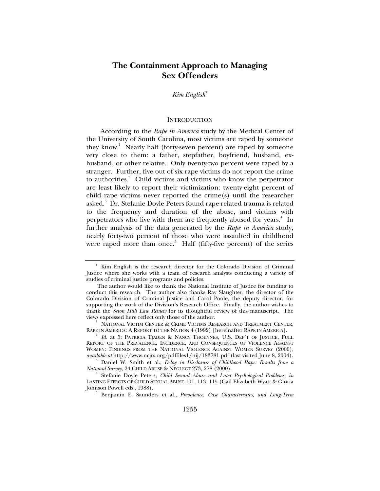# **The Containment Approach to Managing Sex Offenders**

#### *Kim English*<sup>∗</sup>

### **INTRODUCTION**

According to the *Rape in America* study by the Medical Center of the University of South Carolina, most victims are raped by someone they know.<sup>1</sup> Nearly half (forty-seven percent) are raped by someone very close to them: a father, stepfather, boyfriend, husband, exhusband, or other relative. Only twenty-two percent were raped by a stranger. Further, five out of six rape victims do not report the crime to authorities.<sup>2</sup> Child victims and victims who know the perpetrator are least likely to report their victimization: twenty-eight percent of child rape victims never reported the crime(s) until the researcher asked.<sup>3</sup> Dr. Stefanie Doyle Peters found rape-related trauma is related to the frequency and duration of the abuse, and victims with perpetrators who live with them are frequently abused for years.<sup>4</sup> In further analysis of the data generated by the *Rape in America* study, nearly forty-two percent of those who were assaulted in childhood were raped more than once.<sup>5</sup> Half (fifty-five percent) of the series

 $^{\rm 1}$  NATIONAL VICTIM CENTER & CRIME VICTIMS RESEARCH AND TREATMENT CENTER, RAPE IN AMERICA: A REPORT TO THE NATION 4 (1992) [hereinafter RAPE IN AMERICA].

<sup>∗</sup> Kim English is the research director for the Colorado Division of Criminal Justice where she works with a team of research analysts conducting a variety of studies of criminal justice programs and policies.

The author would like to thank the National Institute of Justice for funding to conduct this research. The author also thanks Ray Slaughter, the director of the Colorado Division of Criminal Justice and Carol Poole, the deputy director, for supporting the work of the Division's Research Office. Finally, the author wishes to thank the *Seton Hall Law Review* for its thoughtful review of this manuscript. The views expressed here reflect only those of the author. 1

Id. at 5; PATRICIA TJADEN & NANCY THOENNES, U.S. DEP'T OF JUSTICE, FULL REPORT OF THE PREVALENCE, INCIDENCE, AND CONSEQUENCES OF VIOLENCE AGAINST WOMEN: FINDINGS FROM THE NATIONAL VIOLENCE AGAINST WOMEN SURVEY (2000), *available at* http://www.ncjrs.org/pdffiles1/nij/183781.pdf (last visited June 8, 2004).

Daniel W. Smith et al., *Delay in Disclosure of Childhood Rape: Results from a National Survey*, 24 CHILD ABUSE & NEGLECT 273, 278 (2000). <sup>4</sup>

Stefanie Doyle Peters, *Child Sexual Abuse and Later Psychological Problems*, *in* LASTING EFFECTS OF CHILD SEXUAL ABUSE 101, 113, 115 (Gail Elizabeth Wyatt & Gloria Johnson Powell eds., 1988).

Benjamin E. Saunders et al., *Prevalence, Case Characteristics, and Long-Term*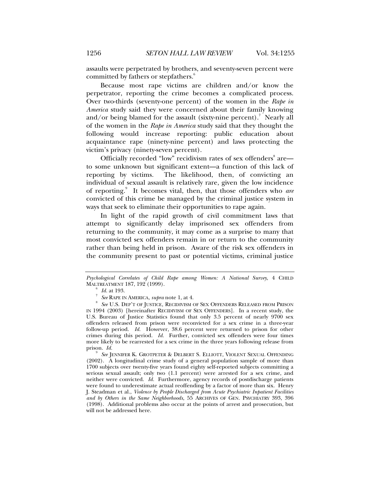assaults were perpetrated by brothers, and seventy-seven percent were committed by fathers or stepfathers.<sup>6</sup>

Because most rape victims are children and/or know the perpetrator, reporting the crime becomes a complicated process. Over two-thirds (seventy-one percent) of the women in the *Rape in America* study said they were concerned about their family knowing and/or being blamed for the assault (sixty-nine percent).<sup>7</sup> Nearly all of the women in the *Rape in America* study said that they thought the following would increase reporting: public education about acquaintance rape (ninety-nine percent) and laws protecting the victim's privacy (ninety-seven percent).

Officially recorded "low" recidivism rates of sex offenders<sup>8</sup> areto some unknown but significant extent—a function of this lack of reporting by victims. The likelihood, then, of convicting an individual of sexual assault is relatively rare, given the low incidence of reporting.<sup>9</sup> It becomes vital, then, that those offenders who *are* convicted of this crime be managed by the criminal justice system in ways that seek to eliminate their opportunities to rape again.

In light of the rapid growth of civil commitment laws that attempt to significantly delay imprisoned sex offenders from returning to the community, it may come as a surprise to many that most convicted sex offenders remain in or return to the community rather than being held in prison. Aware of the risk sex offenders in the community present to past or potential victims, criminal justice

 *See* JENNIFER K. GROTPETER & DELBERT S. ELLIOTT, VIOLENT SEXUAL OFFENDING (2002). A longitudinal crime study of a general population sample of more than 1700 subjects over twenty-five years found eighty self-reported subjects committing a serious sexual assault; only two (1.1 percent) were arrested for a sex crime, and neither were convicted. *Id.* Furthermore, agency records of postdischarge patients were found to underestimate actual reoffending by a factor of more than six. Henry J. Steadman et al., *Violence by People Discharged from Acute Psychiatric Inpatient Facilities and by Others in the Same Neighborhoods*, 55 ARCHIVES OF GEN. PSYCHIATRY 393, 396 (1998). Additional problems also occur at the points of arrest and prosecution, but will not be addressed here.

*Psychological Correlates of Child Rape among Women: A National Survey*, 4 CHILD MALTREATMENT 187, 192 (1999). 6

 $\frac{7}{7}$  *Id.* at 193.

*See* RAPE IN AMERICA, *supra* note 1, at 4. 8

*See* U.S. DEP'T OF JUSTICE, RECIDIVISM OF SEX OFFENDERS RELEASED FROM PRISON IN 1994 (2003) [hereinafter RECIDIVISM OF SEX OFFENDERS]. In a recent study, the U.S. Bureau of Justice Statistics found that only 3.5 percent of nearly 9700 sex offenders released from prison were reconvicted for a sex crime in a three-year follow-up period. *Id.* However, 38.6 percent were returned to prison for other crimes during this period. *Id.* Further, convicted sex offenders were four times more likely to be rearrested for a sex crime in the three years following release from prison. *Id.* <sup>9</sup>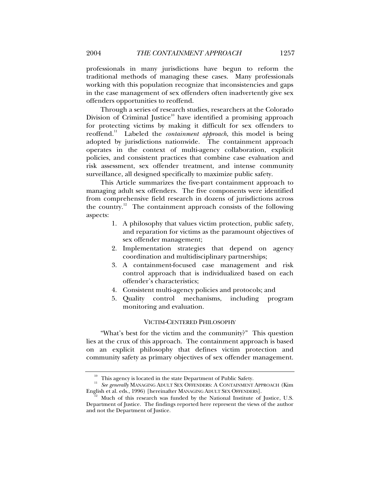professionals in many jurisdictions have begun to reform the traditional methods of managing these cases. Many professionals working with this population recognize that inconsistencies and gaps in the case management of sex offenders often inadvertently give sex offenders opportunities to reoffend.

Through a series of research studies, researchers at the Colorado Division of Criminal Justice<sup>10</sup> have identified a promising approach for protecting victims by making it difficult for sex offenders to reoffend.11 Labeled the *containment approach*, this model is being adopted by jurisdictions nationwide. The containment approach operates in the context of multi-agency collaboration, explicit policies, and consistent practices that combine case evaluation and risk assessment, sex offender treatment, and intense community surveillance, all designed specifically to maximize public safety.

This Article summarizes the five-part containment approach to managing adult sex offenders. The five components were identified from comprehensive field research in dozens of jurisdictions across the country. $12$  The containment approach consists of the following aspects:

- 1. A philosophy that values victim protection, public safety, and reparation for victims as the paramount objectives of sex offender management;
- 2. Implementation strategies that depend on agency coordination and multidisciplinary partnerships;
- 3. A containment-focused case management and risk control approach that is individualized based on each offender's characteristics;
- 4. Consistent multi-agency policies and protocols; and
- 5. Quality control mechanisms, including program monitoring and evaluation.

#### VICTIM-CENTERED PHILOSOPHY

"What's best for the victim and the community?" This question lies at the crux of this approach. The containment approach is based on an explicit philosophy that defines victim protection and community safety as primary objectives of sex offender management.

 $10<sup>10</sup>$  This agency is located in the state Department of Public Safety.

<sup>&</sup>lt;sup>11</sup> See generally MANAGING ADULT SEX OFFENDERS: A CONTAINMENT APPROACH (Kim English et al. eds., 1996) [hereinafter MANAGING ADULT SEX OFFENDERS].

Much of this research was funded by the National Institute of Justice, U.S. Department of Justice. The findings reported here represent the views of the author and not the Department of Justice.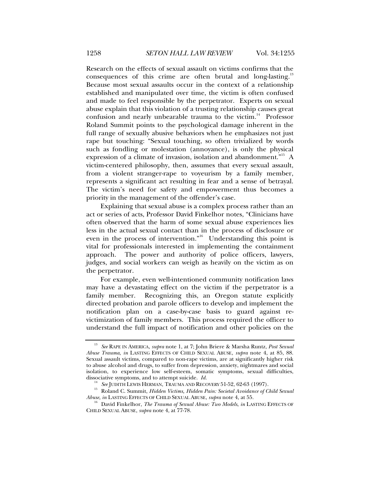consequences of this crime are often brutal and long-lasting.<sup>13</sup> Because most sexual assaults occur in the context of a relationship established and manipulated over time, the victim is often confused and made to feel responsible by the perpetrator. Experts on sexual abuse explain that this violation of a trusting relationship causes great confusion and nearly unbearable trauma to the victim.<sup>14</sup> Professor Roland Summit points to the psychological damage inherent in the full range of sexually abusive behaviors when he emphasizes not just rape but touching: "Sexual touching, so often trivialized by words such as fondling or molestation (annoyance), is only the physical expression of a climate of invasion, isolation and abandonment.<sup>"15</sup> A victim-centered philosophy, then, assumes that every sexual assault, from a violent stranger-rape to voyeurism by a family member, represents a significant act resulting in fear and a sense of betrayal. The victim's need for safety and empowerment thus becomes a priority in the management of the offender's case.

Explaining that sexual abuse is a complex process rather than an act or series of acts, Professor David Finkelhor notes, "Clinicians have often observed that the harm of some sexual abuse experiences lies less in the actual sexual contact than in the process of disclosure or even in the process of intervention."<sup>16</sup> Understanding this point is vital for professionals interested in implementing the containment approach. The power and authority of police officers, lawyers, judges, and social workers can weigh as heavily on the victim as on the perpetrator.

For example, even well-intentioned community notification laws may have a devastating effect on the victim if the perpetrator is a family member. Recognizing this, an Oregon statute explicitly directed probation and parole officers to develop and implement the notification plan on a case-by-case basis to guard against revictimization of family members. This process required the officer to understand the full impact of notification and other policies on the

<sup>13</sup> *See* RAPE IN AMERICA, *supra* note 1, at 7; John Briere & Marsha Runtz, *Post Sexual Abuse Trauma*, *in* LASTING EFFECTS OF CHILD SEXUAL ABUSE, *supra* note 4, at 85, 88. Sexual assault victims, compared to non-rape victims, are at significantly higher risk to abuse alcohol and drugs, to suffer from depression, anxiety, nightmares and social isolation, to experience low self-esteem, somatic symptoms, sexual difficulties, dissociative symptoms, and to attempt suicide.  $Id$ .

<sup>&</sup>lt;sup>14</sup> See JUDITH LEWIS HERMAN, TRAUMA AND RECOVERY 51-52, 62-63 (1997).<br><sup>15</sup> Roland C. Summit, *Hidden Victims, Hidden Pain: Societal Avoidance of Child Sexual Abuse, in* LASTING EFFECTS OF CHILD SEXUAL ABUSE, *supra* note 4, at 55.<br><sup>16</sup> David Finkelhor, *The Trauma of Sexual Abuse: Two Models, in* LASTING EFFECTS OF

CHILD SEXUAL ABUSE, *supra* note 4, at 77-78.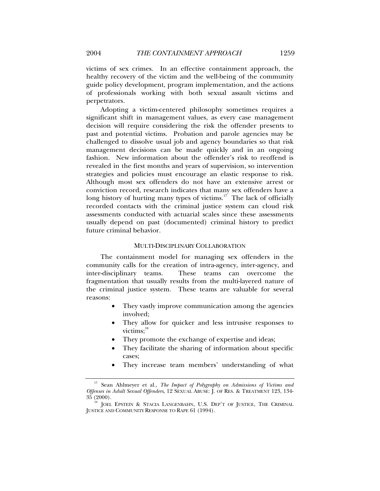victims of sex crimes. In an effective containment approach, the healthy recovery of the victim and the well-being of the community guide policy development, program implementation, and the actions of professionals working with both sexual assault victims and perpetrators.

Adopting a victim-centered philosophy sometimes requires a significant shift in management values, as every case management decision will require considering the risk the offender presents to past and potential victims. Probation and parole agencies may be challenged to dissolve usual job and agency boundaries so that risk management decisions can be made quickly and in an ongoing fashion. New information about the offender's risk to reoffend is revealed in the first months and years of supervision, so intervention strategies and policies must encourage an elastic response to risk. Although most sex offenders do not have an extensive arrest or conviction record, research indicates that many sex offenders have a long history of hurting many types of victims.<sup>17</sup> The lack of officially recorded contacts with the criminal justice system can cloud risk assessments conducted with actuarial scales since these assessments usually depend on past (documented) criminal history to predict future criminal behavior.

#### MULTI-DISCIPLINARY COLLABORATION

The containment model for managing sex offenders in the community calls for the creation of intra-agency, inter-agency, and inter-disciplinary teams. These teams can overcome the fragmentation that usually results from the multi-layered nature of the criminal justice system. These teams are valuable for several reasons:

- They vastly improve communication among the agencies involved;
- They allow for quicker and less intrusive responses to victims;<sup>18</sup>
- They promote the exchange of expertise and ideas;
- They facilitate the sharing of information about specific cases;
- They increase team members' understanding of what

<sup>&</sup>lt;sup>17</sup> Sean Ahlmeyer et al., *The Impact of Polygraphy on Admissions of Victims and Offenses in Adult Sexual Offenders*, 12 SEXUAL ABUSE: J. OF RES. & TREATMENT 123, 134- 35 (2000).<br><sup>18</sup> JOEL EPSTEIN & STACIA LANGENBAHN, U.S. DEP'T OF JUSTICE, THE CRIMINAL

JUSTICE AND COMMUNITY RESPONSE TO RAPE 61 (1994).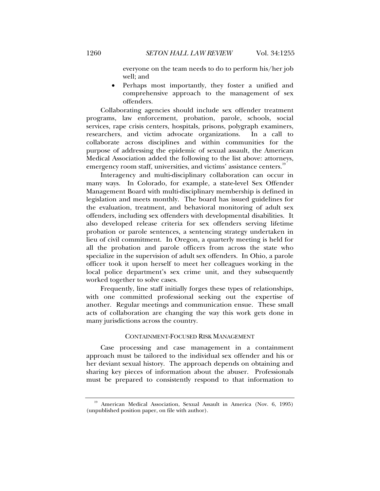everyone on the team needs to do to perform his/her job well; and

• Perhaps most importantly, they foster a unified and comprehensive approach to the management of sex offenders.

Collaborating agencies should include sex offender treatment programs, law enforcement, probation, parole, schools, social services, rape crisis centers, hospitals, prisons, polygraph examiners, researchers, and victim advocate organizations. In a call to collaborate across disciplines and within communities for the purpose of addressing the epidemic of sexual assault, the American Medical Association added the following to the list above: attorneys, emergency room staff, universities, and victims' assistance centers.<sup>19</sup>

Interagency and multi-disciplinary collaboration can occur in many ways. In Colorado, for example, a state-level Sex Offender Management Board with multi-disciplinary membership is defined in legislation and meets monthly. The board has issued guidelines for the evaluation, treatment, and behavioral monitoring of adult sex offenders, including sex offenders with developmental disabilities. It also developed release criteria for sex offenders serving lifetime probation or parole sentences, a sentencing strategy undertaken in lieu of civil commitment. In Oregon, a quarterly meeting is held for all the probation and parole officers from across the state who specialize in the supervision of adult sex offenders. In Ohio, a parole officer took it upon herself to meet her colleagues working in the local police department's sex crime unit, and they subsequently worked together to solve cases.

Frequently, line staff initially forges these types of relationships, with one committed professional seeking out the expertise of another. Regular meetings and communication ensue. These small acts of collaboration are changing the way this work gets done in many jurisdictions across the country.

# CONTAINMENT-FOCUSED RISK MANAGEMENT

Case processing and case management in a containment approach must be tailored to the individual sex offender and his or her deviant sexual history. The approach depends on obtaining and sharing key pieces of information about the abuser. Professionals must be prepared to consistently respond to that information to

<sup>&</sup>lt;sup>19</sup> American Medical Association, Sexual Assault in America (Nov. 6, 1995) (unpublished position paper, on file with author).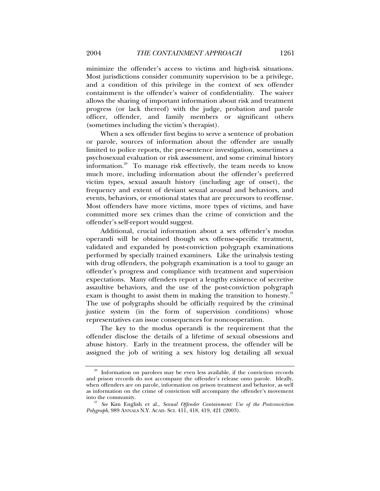minimize the offender's access to victims and high-risk situations. Most jurisdictions consider community supervision to be a privilege, and a condition of this privilege in the context of sex offender containment is the offender's waiver of confidentiality. The waiver allows the sharing of important information about risk and treatment progress (or lack thereof) with the judge, probation and parole officer, offender, and family members or significant others (sometimes including the victim's therapist).

When a sex offender first begins to serve a sentence of probation or parole, sources of information about the offender are usually limited to police reports, the pre-sentence investigation, sometimes a psychosexual evaluation or risk assessment, and some criminal history information.<sup>20</sup> To manage risk effectively, the team needs to know much more, including information about the offender's preferred victim types, sexual assault history (including age of onset), the frequency and extent of deviant sexual arousal and behaviors, and events, behaviors, or emotional states that are precursors to reoffense. Most offenders have more victims, more types of victims, and have committed more sex crimes than the crime of conviction and the offender's self-report would suggest*.* 

Additional, crucial information about a sex offender's modus operandi will be obtained though sex offense-specific treatment, validated and expanded by post-conviction polygraph examinations performed by specially trained examiners. Like the urinalysis testing with drug offenders, the polygraph examination is a tool to gauge an offender's progress and compliance with treatment and supervision expectations. Many offenders report a lengthy existence of secretive assaultive behaviors, and the use of the post-conviction polygraph exam is thought to assist them in making the transition to honesty. $21$ The use of polygraphs should be officially required by the criminal justice system (in the form of supervision conditions) whose representatives can issue consequences for noncooperation.

The key to the modus operandi is the requirement that the offender disclose the details of a lifetime of sexual obsessions and abuse history. Early in the treatment process, the offender will be assigned the job of writing a sex history log detailing all sexual

<sup>&</sup>lt;sup>20</sup> Information on parolees may be even less available, if the conviction records and prison records do not accompany the offender's release onto parole. Ideally, when offenders are on parole, information on prison treatment and behavior, as well as information on the crime of conviction will accompany the offender's movement into the community. 21 *See* Kim English et al., *Sexual Offender Containment: Use of the Postconviction* 

*Polygraph*, 989 ANNALS N.Y. ACAD. SCI. 411, 418, 419, 421 (2003).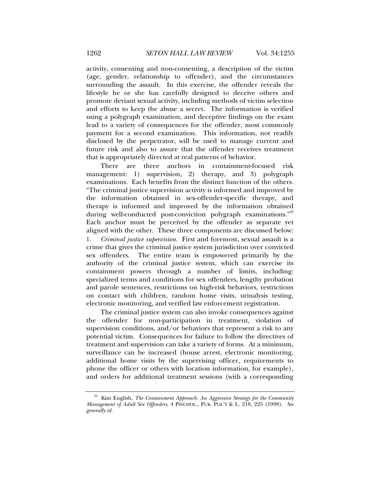activity, consenting and non-consenting, a description of the victim (age, gender, relationship to offender), and the circumstances surrounding the assault. In this exercise, the offender reveals the lifestyle he or she has carefully designed to deceive others and promote deviant sexual activity, including methods of victim selection and efforts to keep the abuse a secret. The information is verified using a polygraph examination, and deceptive findings on the exam lead to a variety of consequences for the offender, most commonly payment for a second examination. This information, not readily disclosed by the perpetrator, will be used to manage current and future risk and also to assure that the offender receives treatment that is appropriately directed at real patterns of behavior.

There are three anchors in containment-focused risk management: 1) supervision, 2) therapy, and 3) polygraph examinations. Each benefits from the distinct function of the others. "The criminal justice supervision activity is informed and improved by the information obtained in sex-offender-specific therapy, and therapy is informed and improved by the information obtained during well-conducted post-conviction polygraph examinations."<sup>22</sup> Each anchor must be perceived by the offender as separate yet aligned with the other. These three components are discussed below: 1. *Criminal justice supervision.* First and foremost, sexual assault is a crime that gives the criminal justice system jurisdiction over convicted sex offenders. The entire team is empowered primarily by the authority of the criminal justice system, which can exercise its containment powers through a number of limits, including: specialized terms and conditions for sex offenders, lengthy probation and parole sentences, restrictions on high-risk behaviors, restrictions on contact with children, random home visits, urinalysis testing, electronic monitoring, and verified law enforcement registration.

The criminal justice system can also invoke consequences against the offender for non-participation in treatment, violation of supervision conditions, and/or behaviors that represent a risk to any potential victim. Consequences for failure to follow the directives of treatment and supervision can take a variety of forms. At a minimum, surveillance can be increased (house arrest, electronic monitoring, additional home visits by the supervising officer, requirements to phone the officer or others with location information, for example), and orders for additional treatment sessions (with a corresponding

<sup>&</sup>lt;sup>22</sup> Kim English, *The Containment Approach: An Aggressive Strategy for the Community Management of Adult Sex Offenders*, 4 PSYCHOL., PUB. POL'Y & L. 218, 225 (1998). *See generally id.*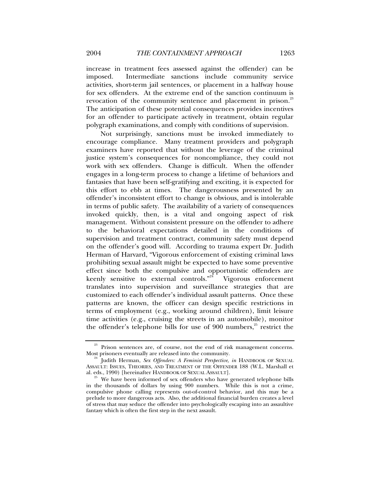increase in treatment fees assessed against the offender) can be imposed. Intermediate sanctions include community service activities, short-term jail sentences, or placement in a halfway house for sex offenders. At the extreme end of the sanction continuum is revocation of the community sentence and placement in prison.<sup>23</sup> The anticipation of these potential consequences provides incentives for an offender to participate actively in treatment, obtain regular polygraph examinations, and comply with conditions of supervision.

Not surprisingly, sanctions must be invoked immediately to encourage compliance. Many treatment providers and polygraph examiners have reported that without the leverage of the criminal justice system's consequences for noncompliance, they could not work with sex offenders. Change is difficult. When the offender engages in a long-term process to change a lifetime of behaviors and fantasies that have been self-gratifying and exciting, it is expected for this effort to ebb at times. The dangerousness presented by an offender's inconsistent effort to change is obvious, and is intolerable in terms of public safety. The availability of a variety of consequences invoked quickly, then, is a vital and ongoing aspect of risk management. Without consistent pressure on the offender to adhere to the behavioral expectations detailed in the conditions of supervision and treatment contract, community safety must depend on the offender's good will. According to trauma expert Dr. Judith Herman of Harvard, "Vigorous enforcement of existing criminal laws prohibiting sexual assault might be expected to have some preventive effect since both the compulsive and opportunistic offenders are keenly sensitive to external controls. $n<sub>24</sub>$ <sup>1</sup> Vigorous enforcement translates into supervision and surveillance strategies that are customized to each offender's individual assault patterns. Once these patterns are known, the officer can design specific restrictions in terms of employment (e.g., working around children), limit leisure time activities (e.g., cruising the streets in an automobile), monitor the offender's telephone bills for use of  $900$  numbers,<sup>25</sup> restrict the

 $23$  Prison sentences are, of course, not the end of risk management concerns.<br>Most prisoners eventually are released into the community.

Judith Herman, Sex Offenders: A Feminist Perspective, *in* HANDBOOK OF SEXUAL ASSAULT: ISSUES, THEORIES, AND TREATMENT OF THE OFFENDER 188 (W.L. Marshall et al. eds., 1990) [hereinafter HANDBOOK OF SEXUAL ASSAULT].

We have been informed of sex offenders who have generated telephone bills in the thousands of dollars by using 900 numbers. While this is not a crime, compulsive phone calling represents out-of-control behavior, and this may be a prelude to more dangerous acts. Also, the additional financial burden creates a level of stress that may seduce the offender into psychologically escaping into an assaultive fantasy which is often the first step in the next assault.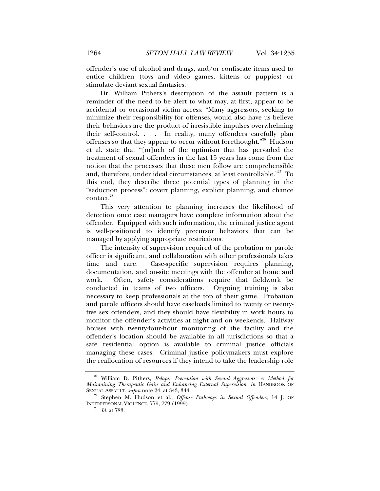offender's use of alcohol and drugs, and/or confiscate items used to entice children (toys and video games, kittens or puppies) or stimulate deviant sexual fantasies.

Dr. William Pithers's description of the assault pattern is a reminder of the need to be alert to what may, at first, appear to be accidental or occasional victim access: "Many aggressors, seeking to minimize their responsibility for offenses, would also have us believe their behaviors are the product of irresistible impulses overwhelming their self-control. . . . In reality, many offenders carefully plan offenses so that they appear to occur without forethought.<sup>"26</sup> Hudson et al. state that "[m]uch of the optimism that has pervaded the treatment of sexual offenders in the last 15 years has come from the notion that the processes that these men follow are comprehensible and, therefore, under ideal circumstances, at least controllable."<sup>27</sup> To this end, they describe three potential types of planning in the "seduction process": covert planning, explicit planning, and chance contact.<sup>28</sup>

This very attention to planning increases the likelihood of detection once case managers have complete information about the offender. Equipped with such information, the criminal justice agent is well-positioned to identify precursor behaviors that can be managed by applying appropriate restrictions.

The intensity of supervision required of the probation or parole officer is significant, and collaboration with other professionals takes time and care. Case-specific supervision requires planning, documentation, and on-site meetings with the offender at home and work. Often, safety considerations require that fieldwork be conducted in teams of two officers. Ongoing training is also necessary to keep professionals at the top of their game. Probation and parole officers should have caseloads limited to twenty or twentyfive sex offenders, and they should have flexibility in work hours to monitor the offender's activities at night and on weekends. Halfway houses with twenty-four-hour monitoring of the facility and the offender's location should be available in all jurisdictions so that a safe residential option is available to criminal justice officials managing these cases. Criminal justice policymakers must explore the reallocation of resources if they intend to take the leadership role

<sup>26</sup> William D. Pithers, *Relapse Prevention with Sexual Aggressors: A Method for Maintaining Therapeutic Gain and Enhancing External Supervision, in HANDBOOK OF* SEXUAL ASSAULT, *supra* note 24, at 343, 344.

<sup>&</sup>lt;sup>27</sup> Stephen M. Hudson et al., *Offense Pathways in Sexual Offenders*, 14 J. OF INTERPERSONAL VIOLENCE, 779, 779 (1999). 28 *Id.* at 783.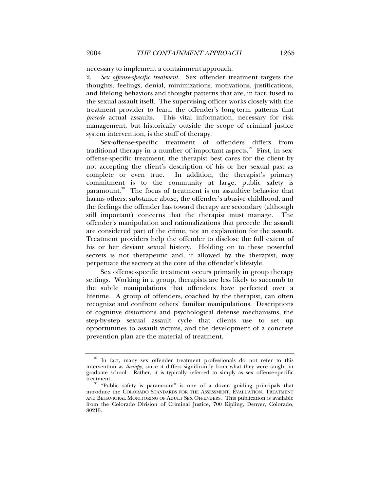necessary to implement a containment approach.

2. *Sex offense-specific treatment.* Sex offender treatment targets the thoughts, feelings, denial*,* minimizations, motivations, justifications, and lifelong behaviors and thought patterns that are, in fact, fused to the sexual assault itself. The supervising officer works closely with the treatment provider to learn the offender's long-term patterns that *precede* actual assaults. This vital information, necessary for risk management, but historically outside the scope of criminal justice system intervention, is the stuff of therapy.

Sex-offense-specific treatment of offenders differs from traditional therapy in a number of important aspects.<sup>29</sup> First, in sexoffense-specific treatment, the therapist best cares for the client by not accepting the client's description of his or her sexual past as complete or even true. In addition, the therapist's primary commitment is to the community at large; public safety is paramount.<sup>30</sup> The focus of treatment is on assaultive behavior that harms others; substance abuse, the offender's abusive childhood, and the feelings the offender has toward therapy are secondary (although still important) concerns that the therapist must manage. The offender's manipulation and rationalizations that precede the assault are considered part of the crime, not an explanation for the assault. Treatment providers help the offender to disclose the full extent of his or her deviant sexual history. Holding on to these powerful secrets is not therapeutic and, if allowed by the therapist, may perpetuate the secrecy at the core of the offender's lifestyle.

Sex offense-specific treatment occurs primarily in group therapy settings. Working in a group, therapists are less likely to succumb to the subtle manipulations that offenders have perfected over a lifetime. A group of offenders, coached by the therapist, can often recognize and confront others' familiar manipulations. Descriptions of cognitive distortions and psychological defense mechanisms, the step-by-step sexual assault cycle that clients use to set up opportunities to assault victims, and the development of a concrete prevention plan are the material of treatment.

<sup>&</sup>lt;sup>29</sup> In fact, many sex offender treatment professionals do not refer to this intervention as *therapy*, since it differs significantly from what they were taught in graduate school. Rather, it is typically referred to simply as sex offense-specific

treatment. 30 "Public safety is paramount" is one of a dozen guiding principals that introduce the COLORADO STANDARDS FOR THE ASSESSMENT, EVALUATION, TREATMENT AND BEHAVIORAL MONITORING OF ADULT SEX OFFENDERS. This publication is available from the Colorado Division of Criminal Justice, 700 Kipling, Denver, Colorado, 80215.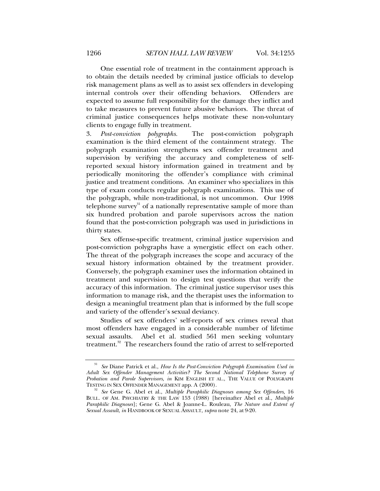One essential role of treatment in the containment approach is to obtain the details needed by criminal justice officials to develop risk management plans as well as to assist sex offenders in developing internal controls over their offending behaviors. Offenders are expected to assume full responsibility for the damage they inflict and to take measures to prevent future abusive behaviors. The threat of criminal justice consequences helps motivate these non-voluntary clients to engage fully in treatment.

3. *Post-conviction polygraphs.* The post-conviction polygraph examination is the third element of the containment strategy. The polygraph examination strengthens sex offender treatment and supervision by verifying the accuracy and completeness of selfreported sexual history information gained in treatment and by periodically monitoring the offender's compliance with criminal justice and treatment conditions. An examiner who specializes in this type of exam conducts regular polygraph examinations. This use of the polygraph, while non-traditional, is not uncommon. Our 1998 telephone survey<sup>31</sup> of a nationally representative sample of more than six hundred probation and parole supervisors across the nation found that the post-conviction polygraph was used in jurisdictions in thirty states.

Sex offense-specific treatment, criminal justice supervision and post-conviction polygraphs have a synergistic effect on each other. The threat of the polygraph increases the scope and accuracy of the sexual history information obtained by the treatment provider. Conversely, the polygraph examiner uses the information obtained in treatment and supervision to design test questions that verify the accuracy of this information. The criminal justice supervisor uses this information to manage risk, and the therapist uses the information to design a meaningful treatment plan that is informed by the full scope and variety of the offender's sexual deviancy.

Studies of sex offenders' self-reports of sex crimes reveal that most offenders have engaged in a considerable number of lifetime sexual assaults. Abel et al. studied 561 men seeking voluntary treatment.<sup>32</sup> The researchers found the ratio of arrest to self-reported

<sup>31</sup> *See* Diane Patrick et al., *How Is the Post-Conviction Polygraph Examination Used in Adult Sex Offender Management Activities? The Second National Telephone Survey of Probation and Parole Supervisors, in KIM ENGLISH ET AL., THE VALUE OF POLYGRAPH* TESTING IN SEX OFFENDER MANAGEMENT app. A (2000).

See Gene G. Abel et al., *Multiple Paraphilic Diagnoses among Sex Offenders*, 16 BULL. OF AM. PSYCHIATRY & THE LAW 153 (1988) [hereinafter Abel et al., *Multiple Paraphilic Diagnoses*]; Gene G. Abel & Joanne-L. Rouleau, *The Nature and Extent of Sexual Assault*, *in* HANDBOOK OF SEXUAL ASSAULT, *supra* note 24, at 9-20.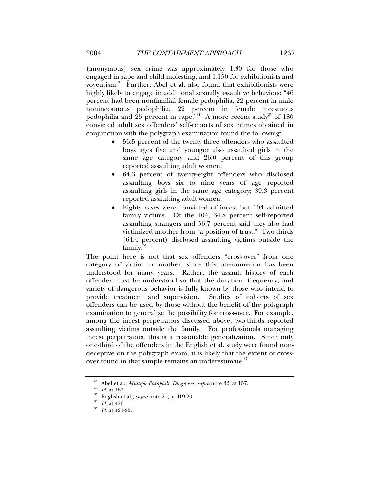(anonymous) sex crime was approximately 1:30 for those who engaged in rape and child molesting, and 1:150 for exhibitionists and voyeurism.<sup>33</sup> Further, Abel et al. also found that exhibitionists were highly likely to engage in additional sexually assaultive behaviors: "46 percent had been nonfamilial female pedophilia, 22 percent in male nonincestuous pedophilia, 22 percent in female incestuous pedophilia and  $25$  percent in rape."<sup>34</sup> A more recent study<sup>35</sup> of 180 convicted adult sex offenders' self-reports of sex crimes obtained in conjunction with the polygraph examination found the following:

- 56.5 percent of the twenty-three offenders who assaulted boys ages five and younger also assaulted girls in the same age category and 26.0 percent of this group reported assaulting adult women.
- 64.3 percent of twenty-eight offenders who disclosed assaulting boys six to nine years of age reported assaulting girls in the same age category; 39.3 percent reported assaulting adult women.
- Eighty cases were convicted of incest but 104 admitted family victims. Of the 104, 34.8 percent self-reported assaulting strangers and 56.7 percent said they also had victimized another from "a position of trust." Two-thirds (64.4 percent) disclosed assaulting victims outside the  $family.<sup>36</sup>$

The point here is not that sex offenders "cross-over" from one category of victim to another, since this phenomenon has been understood for many years. Rather, the assault history of each offender must be understood so that the duration, frequency, and variety of dangerous behavior is fully known by those who intend to provide treatment and supervision. Studies of cohorts of sex offenders can be used by those without the benefit of the polygraph examination to generalize the possibility for cross-over. For example, among the incest perpetrators discussed above, two-thirds reported assaulting victims outside the family. For professionals managing incest perpetrators, this is a reasonable generalization. Since only one-third of the offenders in the English et al. study were found nondeceptive on the polygraph exam, it is likely that the extent of crossover found in that sample remains an underestimate.<sup>37</sup>

<sup>33</sup> Abel et al., *Multiple Paraphilic Diagnoses*, *supra* note 32, at 157. 34 *Id.* at 163. 35 English et al., *supra* note 21, at 419-20. 36 *Id.* at 420. 37 *Id.* at 421-22*.*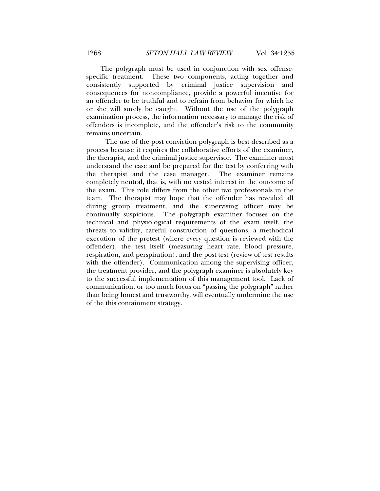The polygraph must be used in conjunction with sex offensespecific treatment. These two components, acting together and consistently supported by criminal justice supervision and consequences for noncompliance, provide a powerful incentive for an offender to be truthful and to refrain from behavior for which he or she will surely be caught. Without the use of the polygraph examination process, the information necessary to manage the risk of offenders is incomplete, and the offender's risk to the community remains uncertain.

 The use of the post conviction polygraph is best described as a process because it requires the collaborative efforts of the examiner, the therapist, and the criminal justice supervisor. The examiner must understand the case and be prepared for the test by conferring with the therapist and the case manager. The examiner remains completely neutral, that is, with no vested interest in the outcome of the exam. This role differs from the other two professionals in the team. The therapist may hope that the offender has revealed all during group treatment, and the supervising officer may be continually suspicious. The polygraph examiner focuses on the technical and physiological requirements of the exam itself, the threats to validity, careful construction of questions, a methodical execution of the pretest (where every question is reviewed with the offender), the test itself (measuring heart rate, blood pressure, respiration, and perspiration), and the post-test (review of test results with the offender). Communication among the supervising officer, the treatment provider, and the polygraph examiner is absolutely key to the successful implementation of this management tool. Lack of communication, or too much focus on "passing the polygraph" rather than being honest and trustworthy, will eventually undermine the use of the this containment strategy.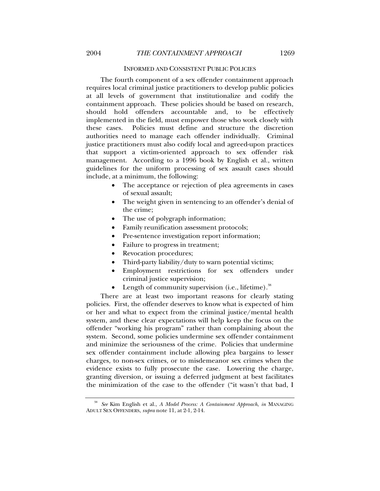## INFORMED AND CONSISTENT PUBLIC POLICIES

The fourth component of a sex offender containment approach requires local criminal justice practitioners to develop public policies at all levels of government that institutionalize and codify the containment approach. These policies should be based on research, should hold offenders accountable and, to be effectively implemented in the field, must empower those who work closely with these cases. Policies must define and structure the discretion authorities need to manage each offender individually. Criminal justice practitioners must also codify local and agreed-upon practices that support a victim-oriented approach to sex offender risk management. According to a 1996 book by English et al., written guidelines for the uniform processing of sex assault cases should include, at a minimum, the following:

- The acceptance or rejection of plea agreements in cases of sexual assault;
- The weight given in sentencing to an offender's denial of the crime;
- The use of polygraph information;
- Family reunification assessment protocols;
- Pre-sentence investigation report information;
- Failure to progress in treatment;
- Revocation procedures;
- Third-party liability/duty to warn potential victims;
- Employment restrictions for sex offenders under criminal justice supervision;
- Length of community supervision (i.e., lifetime).<sup>38</sup>

There are at least two important reasons for clearly stating policies. First, the offender deserves to know what is expected of him or her and what to expect from the criminal justice/mental health system, and these clear expectations will help keep the focus on the offender "working his program" rather than complaining about the system. Second, some policies undermine sex offender containment and minimize the seriousness of the crime. Policies that undermine sex offender containment include allowing plea bargains to lesser charges, to non-sex crimes, or to misdemeanor sex crimes when the evidence exists to fully prosecute the case. Lowering the charge, granting diversion, or issuing a deferred judgment at best facilitates the minimization of the case to the offender ("it wasn't that bad, I

<sup>38</sup> *See* Kim English et al., *A Model Process: A Containment Approach*, *in* MANAGING ADULT SEX OFFENDERS, *supra* note 11, at 2-1, 2-14.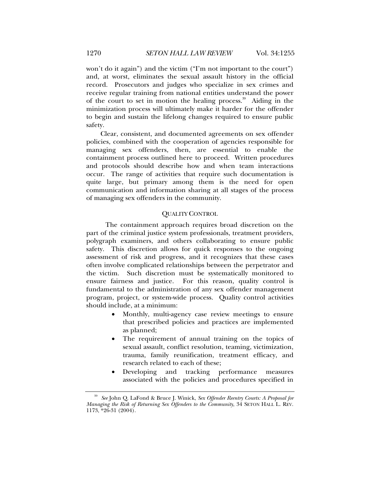won't do it again") and the victim ("I'm not important to the court") and, at worst, eliminates the sexual assault history in the official record. Prosecutors and judges who specialize in sex crimes and receive regular training from national entities understand the power of the court to set in motion the healing process.<sup>39</sup> Aiding in the minimization process will ultimately make it harder for the offender to begin and sustain the lifelong changes required to ensure public safety.

Clear, consistent, and documented agreements on sex offender policies, combined with the cooperation of agencies responsible for managing sex offenders, then, are essential to enable the containment process outlined here to proceed. Written procedures and protocols should describe how and when team interactions occur. The range of activities that require such documentation is quite large, but primary among them is the need for open communication and information sharing at all stages of the process of managing sex offenders in the community.

## QUALITY CONTROL

 The containment approach requires broad discretion on the part of the criminal justice system professionals, treatment providers, polygraph examiners, and others collaborating to ensure public safety. This discretion allows for quick responses to the ongoing assessment of risk and progress, and it recognizes that these cases often involve complicated relationships between the perpetrator and the victim. Such discretion must be systematically monitored to ensure fairness and justice. For this reason, quality control is fundamental to the administration of any sex offender management program, project, or system-wide process. Quality control activities should include, at a minimum:

- Monthly, multi-agency case review meetings to ensure that prescribed policies and practices are implemented as planned;
- The requirement of annual training on the topics of sexual assault, conflict resolution, teaming, victimization, trauma, family reunification, treatment efficacy, and research related to each of these;
- Developing and tracking performance measures associated with the policies and procedures specified in

<sup>39</sup> *See* John Q. LaFond & Bruce J. Winick, *Sex Offender Reentry Courts: A Proposal for Managing the Risk of Returning Sex Offenders to the Community*, 34 SETON HALL L. REV. 1173, \*26-31 (2004).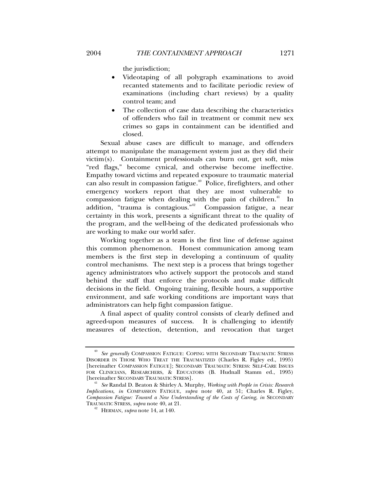the jurisdiction;

- Videotaping of all polygraph examinations to avoid recanted statements and to facilitate periodic review of examinations (including chart reviews) by a quality control team; and
- The collection of case data describing the characteristics of offenders who fail in treatment or commit new sex crimes so gaps in containment can be identified and closed.

Sexual abuse cases are difficult to manage, and offenders attempt to manipulate the management system just as they did their victim(s). Containment professionals can burn out, get soft, miss "red flags," become cynical, and otherwise become ineffective. Empathy toward victims and repeated exposure to traumatic material can also result in compassion fatigue.<sup>40</sup> Police, firefighters, and other emergency workers report that they are most vulnerable to compassion fatigue when dealing with the pain of children.<sup>41</sup> In addition, "trauma is contagious."42 Compassion fatigue, a near certainty in this work, presents a significant threat to the quality of the program, and the well-being of the dedicated professionals who are working to make our world safer.

Working together as a team is the first line of defense against this common phenomenon. Honest communication among team members is the first step in developing a continuum of quality control mechanisms. The next step is a process that brings together agency administrators who actively support the protocols and stand behind the staff that enforce the protocols and make difficult decisions in the field. Ongoing training, flexible hours, a supportive environment, and safe working conditions are important ways that administrators can help fight compassion fatigue.

A final aspect of quality control consists of clearly defined and agreed-upon measures of success. It is challenging to identify measures of detection, detention, and revocation that target

<sup>40</sup> *See generally* COMPASSION FATIGUE: COPING WITH SECONDARY TRAUMATIC STRESS DISORDER IN THOSE WHO TREAT THE TRAUMATIZED (Charles R. Figley ed., 1995) [hereinafter COMPASSION FATIGUE]; SECONDARY TRAUMATIC STRESS: SELF-CARE ISSUES FOR CLINICIANS, RESEARCHERS, & EDUCATORS (B. Hudnall Stamm ed., 1995) [hereinafter SECONDARY TRAUMATIC STRESS].

<sup>[</sup>hereinafter SECONDARY TRAUMATIC STRESS]. 41 *See* Randal D. Beaton & Shirley A. Murphy, *Working with People in Crisis: Research Implications*, *in* COMPASSION FATIGUE, *supra* note 40, at 51; Charles R. Figley, *Compassion Fatigue: Toward a New Understanding of the Costs of Caring*, *in* SECONDARY

<sup>&</sup>lt;sup>42</sup> HERMAN, *supra* note 14, at 140.